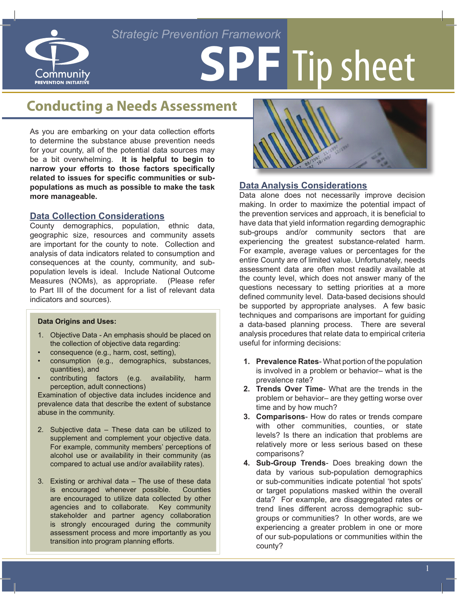## *Strategic Prevention Framework*



# **SPF** Tip sheet

## **Conducting a Needs Assessment**

As you are embarking on your data collection efforts to determine the substance abuse prevention needs for your county, all of the potential data sources may be a bit overwhelming. **It is helpful to begin to narrow your efforts to those factors specifically related to issues for specific communities or subpopulations as much as possible to make the task more manageable.** 

#### **Data Collection Considerations**

County demographics, population, ethnic data, geographic size, resources and community assets are important for the county to note. Collection and analysis of data indicators related to consumption and consequences at the county, community, and subpopulation levels is ideal. Include National Outcome Measures (NOMs), as appropriate. (Please refer to Part III of the document for a list of relevant data indicators and sources).

#### **Data Origins and Uses:**

- 1. Objective Data An emphasis should be placed on the collection of objective data regarding:
- consequence (e.g., harm, cost, setting),
- consumption (e.g., demographics, substances, quantities), and
- contributing factors (e.g. availability, harm perception, adult connections)

Examination of objective data includes incidence and prevalence data that describe the extent of substance abuse in the community.

- 2. Subjective data These data can be utilized to supplement and complement your objective data. For example, community members' perceptions of alcohol use or availability in their community (as compared to actual use and/or availability rates).
- 3. Existing or archival data The use of these data is encouraged whenever possible. Counties are encouraged to utilize data collected by other agencies and to collaborate. Key community stakeholder and partner agency collaboration is strongly encouraged during the community assessment process and more importantly as you transition into program planning efforts.



#### **Data Analysis Considerations**

Data alone does not necessarily improve decision making. In order to maximize the potential impact of the prevention services and approach, it is beneficial to have data that yield information regarding demographic sub-groups and/or community sectors that are experiencing the greatest substance-related harm. For example, average values or percentages for the entire County are of limited value. Unfortunately, needs assessment data are often most readily available at the county level, which does not answer many of the questions necessary to setting priorities at a more defined community level. Data-based decisions should be supported by appropriate analyses. A few basic techniques and comparisons are important for guiding a data-based planning process. There are several analysis procedures that relate data to empirical criteria useful for informing decisions:

- **1. Prevalence Rates** What portion of the population is involved in a problem or behavior– what is the prevalence rate?
- **2. Trends Over Time** What are the trends in the problem or behavior– are they getting worse over time and by how much?
- **3. Comparisons** How do rates or trends compare with other communities, counties, or state levels? Is there an indication that problems are relatively more or less serious based on these comparisons?
- **4. Sub-Group Trends** Does breaking down the data by various sub-population demographics or sub-communities indicate potential 'hot spots' or target populations masked within the overall data? For example, are disaggregated rates or trend lines different across demographic subgroups or communities? In other words, are we experiencing a greater problem in one or more of our sub-populations or communities within the county?

1